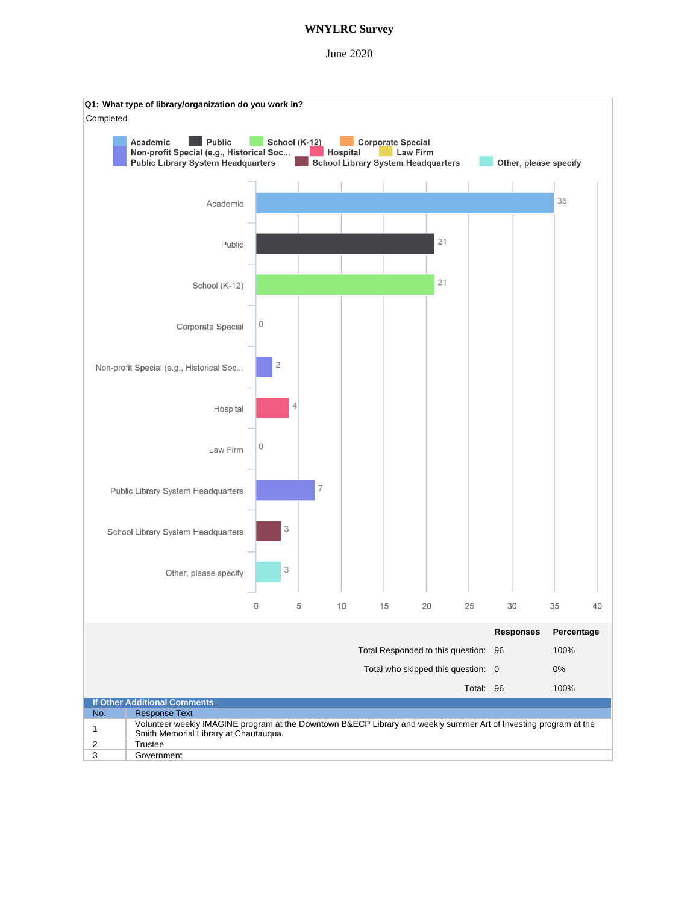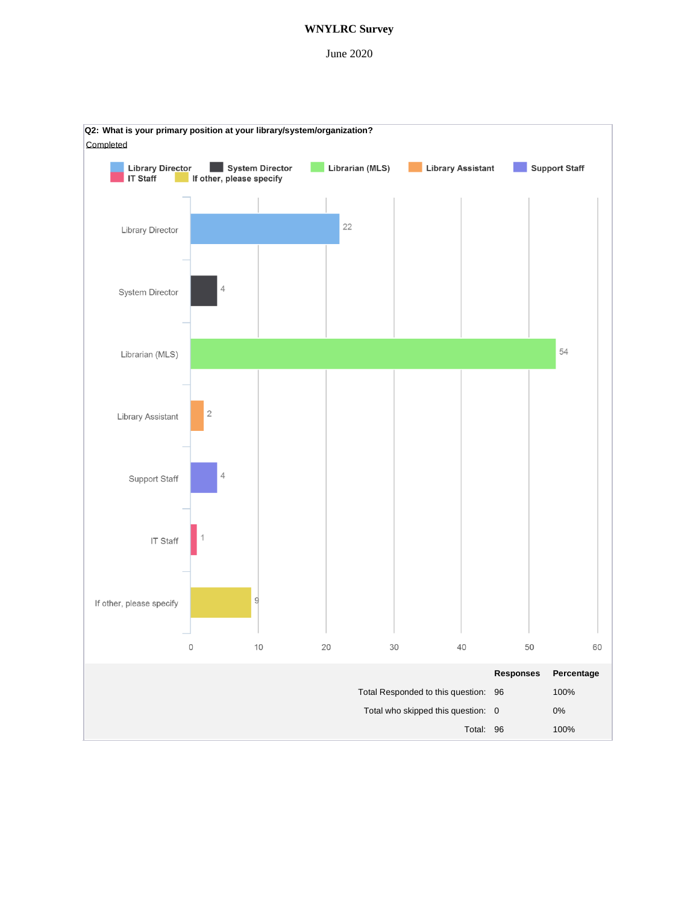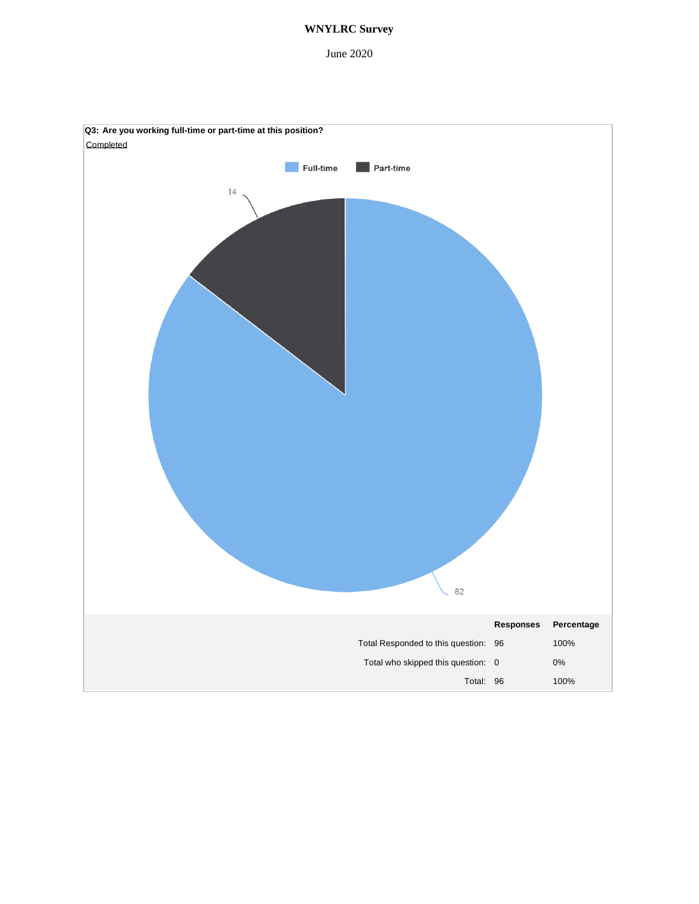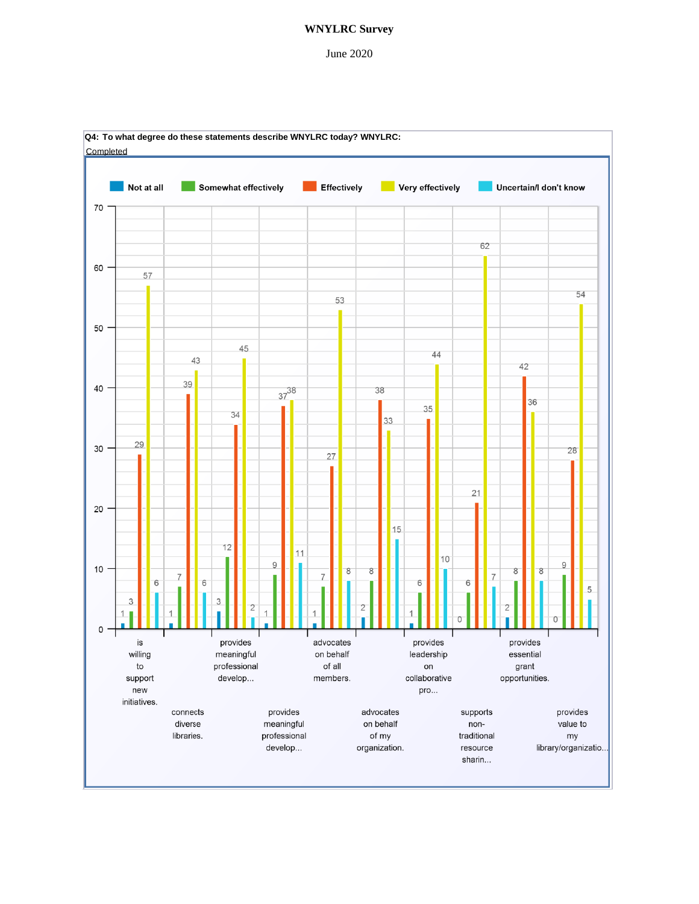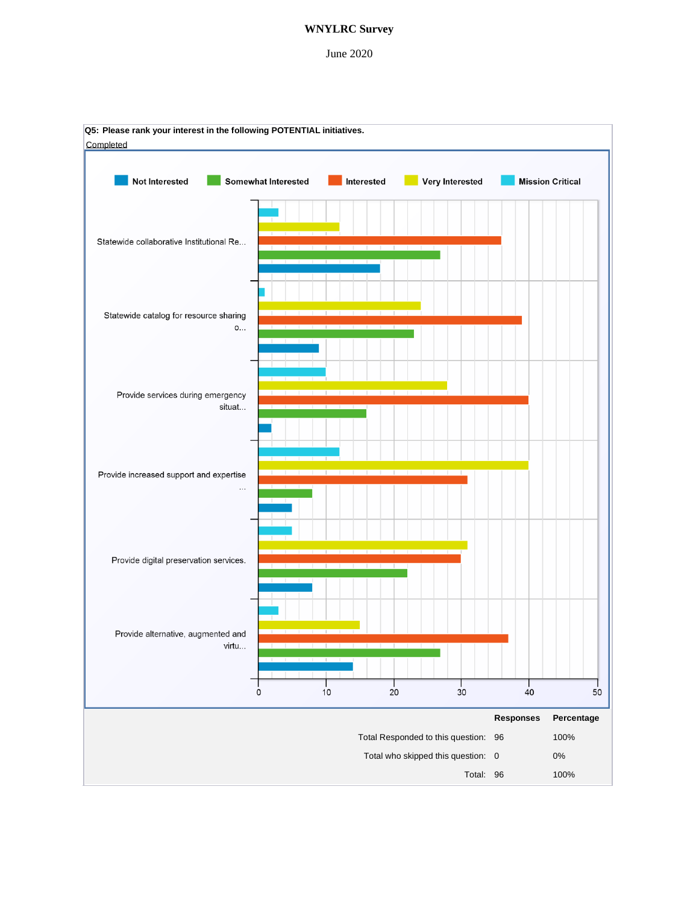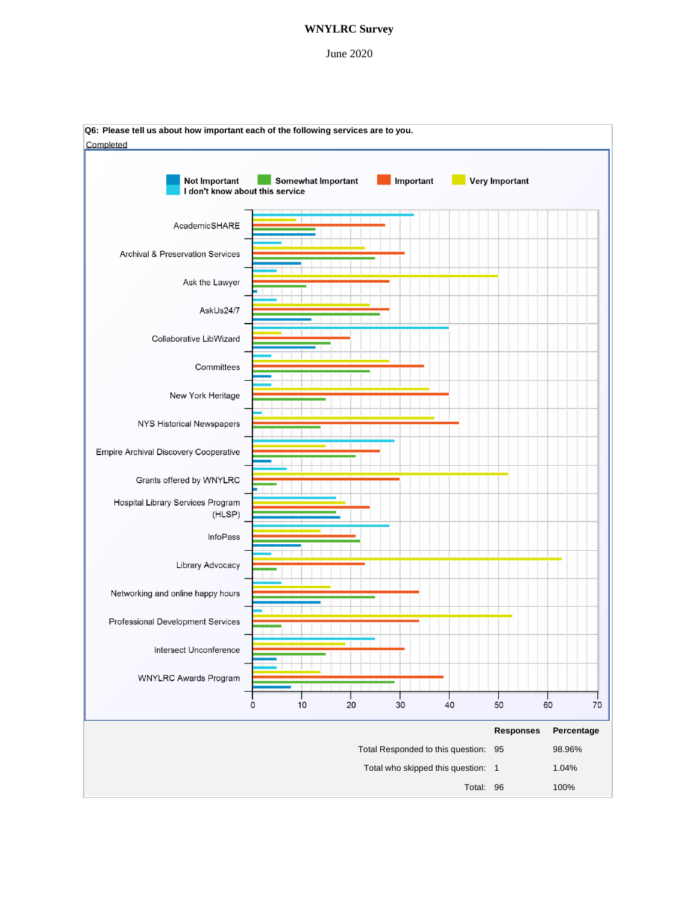